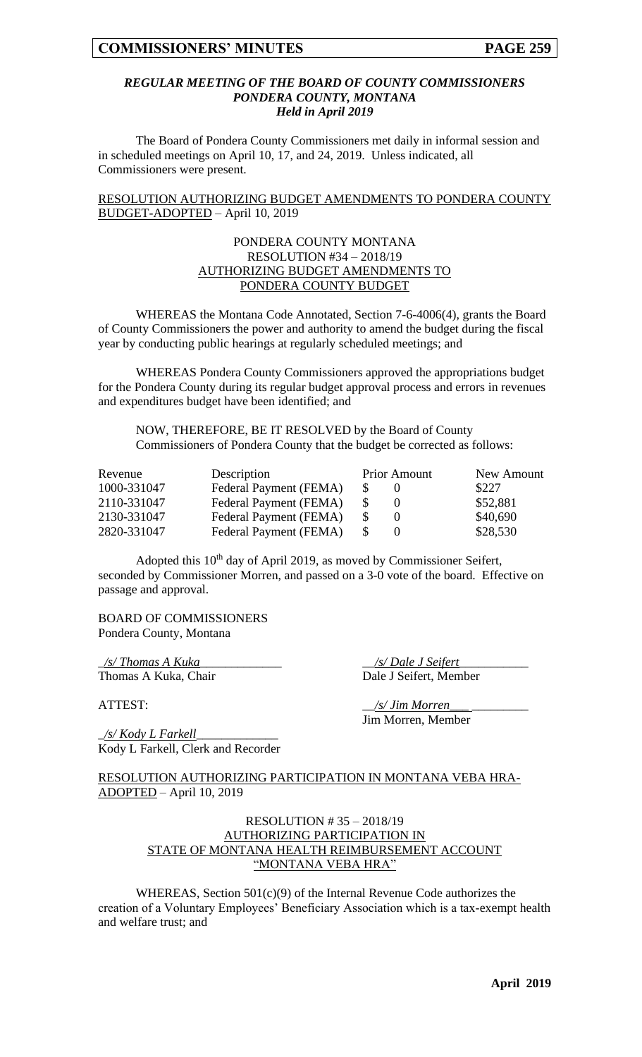#### *REGULAR MEETING OF THE BOARD OF COUNTY COMMISSIONERS PONDERA COUNTY, MONTANA Held in April 2019*

The Board of Pondera County Commissioners met daily in informal session and in scheduled meetings on April 10, 17, and 24, 2019. Unless indicated, all Commissioners were present.

RESOLUTION AUTHORIZING BUDGET AMENDMENTS TO PONDERA COUNTY BUDGET-ADOPTED – April 10, 2019

#### PONDERA COUNTY MONTANA RESOLUTION #34 – 2018/19 AUTHORIZING BUDGET AMENDMENTS TO PONDERA COUNTY BUDGET

WHEREAS the Montana Code Annotated, Section 7-6-4006(4), grants the Board of County Commissioners the power and authority to amend the budget during the fiscal year by conducting public hearings at regularly scheduled meetings; and

WHEREAS Pondera County Commissioners approved the appropriations budget for the Pondera County during its regular budget approval process and errors in revenues and expenditures budget have been identified; and

NOW, THEREFORE, BE IT RESOLVED by the Board of County Commissioners of Pondera County that the budget be corrected as follows:

| Revenue     | Description            | <b>Prior Amount</b> |  | New Amount |  |
|-------------|------------------------|---------------------|--|------------|--|
| 1000-331047 | Federal Payment (FEMA) |                     |  | \$227      |  |
| 2110-331047 | Federal Payment (FEMA) |                     |  | \$52,881   |  |
| 2130-331047 | Federal Payment (FEMA) |                     |  | \$40,690   |  |
| 2820-331047 | Federal Payment (FEMA) |                     |  | \$28,530   |  |

Adopted this 10<sup>th</sup> day of April 2019, as moved by Commissioner Seifert, seconded by Commissioner Morren, and passed on a 3-0 vote of the board. Effective on passage and approval.

#### BOARD OF COMMISSIONERS Pondera County, Montana

\_*/s/ Thomas A Kuka*\_\_\_\_\_\_\_\_\_\_\_\_\_ \_\_*/s/ Dale J Seifert*\_\_\_\_\_\_\_\_\_\_\_

Thomas A Kuka, Chair Dale J Seifert, Member

ATTEST:  $\frac{1}{s}$  /s/ Jim Morren Jim Morren, Member

\_*/s/ Kody L Farkell*\_\_\_\_\_\_\_\_\_\_\_\_\_ Kody L Farkell, Clerk and Recorder

RESOLUTION AUTHORIZING PARTICIPATION IN MONTANA VEBA HRA-ADOPTED – April 10, 2019

#### RESOLUTION # 35 – 2018/19 AUTHORIZING PARTICIPATION IN STATE OF MONTANA HEALTH REIMBURSEMENT ACCOUNT "MONTANA VEBA HRA"

WHEREAS, Section 501(c)(9) of the Internal Revenue Code authorizes the creation of a Voluntary Employees' Beneficiary Association which is a tax-exempt health and welfare trust; and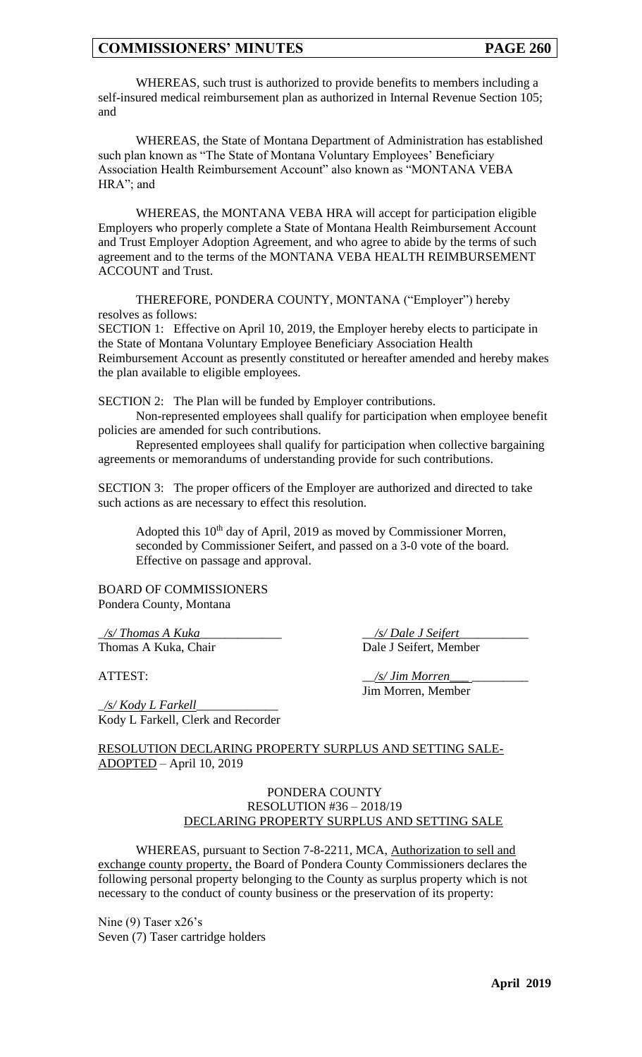WHEREAS, such trust is authorized to provide benefits to members including a self-insured medical reimbursement plan as authorized in Internal Revenue Section 105; and

WHEREAS, the State of Montana Department of Administration has established such plan known as "The State of Montana Voluntary Employees' Beneficiary Association Health Reimbursement Account" also known as "MONTANA VEBA HRA"; and

WHEREAS, the MONTANA VEBA HRA will accept for participation eligible Employers who properly complete a State of Montana Health Reimbursement Account and Trust Employer Adoption Agreement, and who agree to abide by the terms of such agreement and to the terms of the MONTANA VEBA HEALTH REIMBURSEMENT ACCOUNT and Trust.

THEREFORE, PONDERA COUNTY, MONTANA ("Employer") hereby resolves as follows:

SECTION 1: Effective on April 10, 2019, the Employer hereby elects to participate in the State of Montana Voluntary Employee Beneficiary Association Health Reimbursement Account as presently constituted or hereafter amended and hereby makes the plan available to eligible employees.

SECTION 2: The Plan will be funded by Employer contributions.

Non-represented employees shall qualify for participation when employee benefit policies are amended for such contributions.

Represented employees shall qualify for participation when collective bargaining agreements or memorandums of understanding provide for such contributions.

SECTION 3: The proper officers of the Employer are authorized and directed to take such actions as are necessary to effect this resolution.

Adopted this 10<sup>th</sup> day of April, 2019 as moved by Commissioner Morren, seconded by Commissioner Seifert, and passed on a 3-0 vote of the board. Effective on passage and approval.

BOARD OF COMMISSIONERS Pondera County, Montana

\_*/s/ Thomas A Kuka*\_\_\_\_\_\_\_\_\_\_\_\_\_ \_\_*/s/ Dale J Seifert*\_\_\_\_\_\_\_\_\_\_\_

Thomas A Kuka, Chair Dale J Seifert, Member

ATTEST:  $\frac{s}{J}$  */s/ Jim Morren* Jim Morren, Member

\_*/s/ Kody L Farkell*\_\_\_\_\_\_\_\_\_\_\_\_\_ Kody L Farkell, Clerk and Recorder

RESOLUTION DECLARING PROPERTY SURPLUS AND SETTING SALE-ADOPTED – April 10, 2019

#### PONDERA COUNTY RESOLUTION #36 – 2018/19 DECLARING PROPERTY SURPLUS AND SETTING SALE

WHEREAS, pursuant to Section 7-8-2211, MCA, Authorization to sell and exchange county property, the Board of Pondera County Commissioners declares the following personal property belonging to the County as surplus property which is not necessary to the conduct of county business or the preservation of its property:

Nine (9) Taser x26's Seven (7) Taser cartridge holders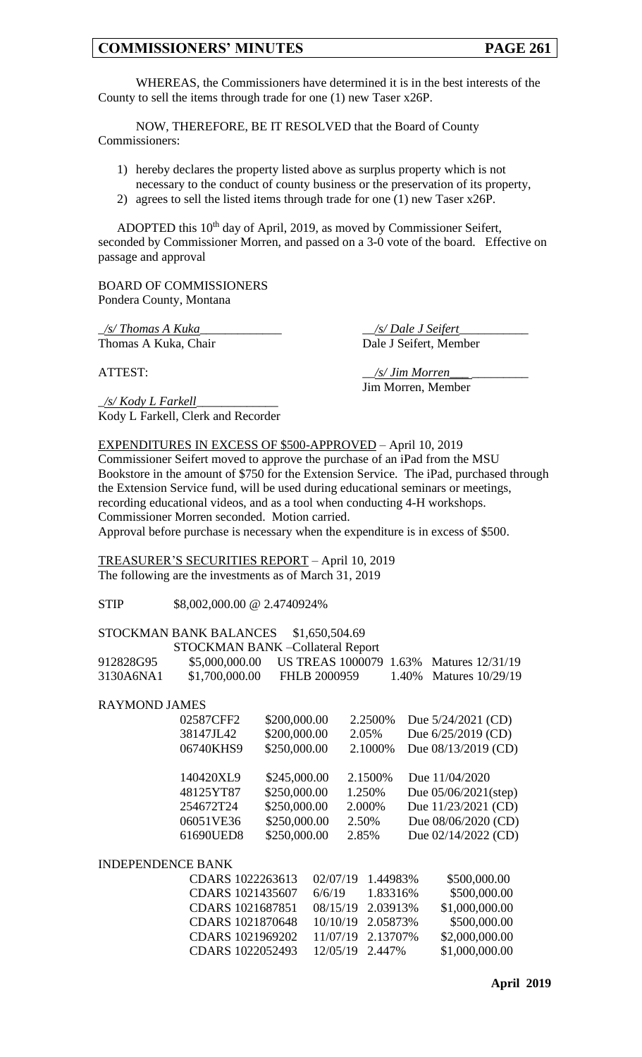WHEREAS, the Commissioners have determined it is in the best interests of the County to sell the items through trade for one (1) new Taser x26P.

NOW, THEREFORE, BE IT RESOLVED that the Board of County Commissioners:

- 1) hereby declares the property listed above as surplus property which is not necessary to the conduct of county business or the preservation of its property,
- 2) agrees to sell the listed items through trade for one (1) new Taser x26P.

ADOPTED this 10<sup>th</sup> day of April, 2019, as moved by Commissioner Seifert, seconded by Commissioner Morren, and passed on a 3-0 vote of the board. Effective on passage and approval

BOARD OF COMMISSIONERS Pondera County, Montana

\_*/s/ Thomas A Kuka*\_\_\_\_\_\_\_\_\_\_\_\_\_ \_\_*/s/ Dale J Seifert*\_\_\_\_\_\_\_\_\_\_\_ Thomas A Kuka, Chair Dale J Seifert, Member

\_*/s/ Kody L Farkell*\_\_\_\_\_\_\_\_\_\_\_\_\_ Kody L Farkell, Clerk and Recorder

ATTEST:  $\frac{1}{s}$  /s/ Jim Morren\_ Jim Morren, Member

EXPENDITURES IN EXCESS OF \$500-APPROVED – April 10, 2019

Commissioner Seifert moved to approve the purchase of an iPad from the MSU Bookstore in the amount of \$750 for the Extension Service. The iPad, purchased through the Extension Service fund, will be used during educational seminars or meetings, recording educational videos, and as a tool when conducting 4-H workshops. Commissioner Morren seconded. Motion carried. Approval before purchase is necessary when the expenditure is in excess of \$500.

TREASURER'S SECURITIES REPORT – April 10, 2019 The following are the investments as of March 31, 2019

STIP \$8,002,000,00 @ 2.4740924%

## STOCKMAN BANK BALANCES \$1,650,504.69

|           |                | STOCKMAN BANK - Collateral Report       |                        |
|-----------|----------------|-----------------------------------------|------------------------|
| 912828G95 | \$5,000,000.00 | US TREAS 1000079 1.63% Matures 12/31/19 |                        |
| 3130A6NA1 | \$1,700,000.00 | FHLB 2000959                            | 1.40% Matures 10/29/19 |

RAYMOND JAMES

| 02587CFF2 | \$200,000.00 | 2.2500%  | Due 5/24/2021 (CD)      |
|-----------|--------------|----------|-------------------------|
| 38147JL42 | \$200,000.00 | 2.05%    | Due $6/25/2019$ (CD)    |
| 06740KHS9 | \$250,000.00 | 2.1000%  | Due 08/13/2019 (CD)     |
| 140420XL9 | \$245,000.00 | 2.1500\% | Due 11/04/2020          |
| 48125YT87 | \$250,000.00 | 1.250%   | Due $05/06/2021$ (step) |
| 254672T24 | \$250,000.00 | 2.000%   | Due 11/23/2021 (CD)     |
| 06051VE36 | \$250,000.00 | 2.50%    | Due 08/06/2020 (CD)     |
| 61690UED8 | \$250,000.00 | 2.85%    | Due 02/14/2022 (CD)     |
|           |              |          |                         |

INDEPENDENCE BANK

| CDARS 1022263613 02/07/19 1.44983% |                   | \$500,000.00   |
|------------------------------------|-------------------|----------------|
| CDARS 1021435607                   | $6/6/19$ 1.83316% | \$500,000.00   |
| CDARS 1021687851                   | 08/15/19 2.03913% | \$1,000,000.00 |
| CDARS 1021870648 10/10/19 2.05873% |                   | \$500,000.00   |
| CDARS 1021969202 11/07/19 2.13707% |                   | \$2,000,000.00 |
| CDARS 1022052493 12/05/19 2.447%   |                   | \$1,000,000.00 |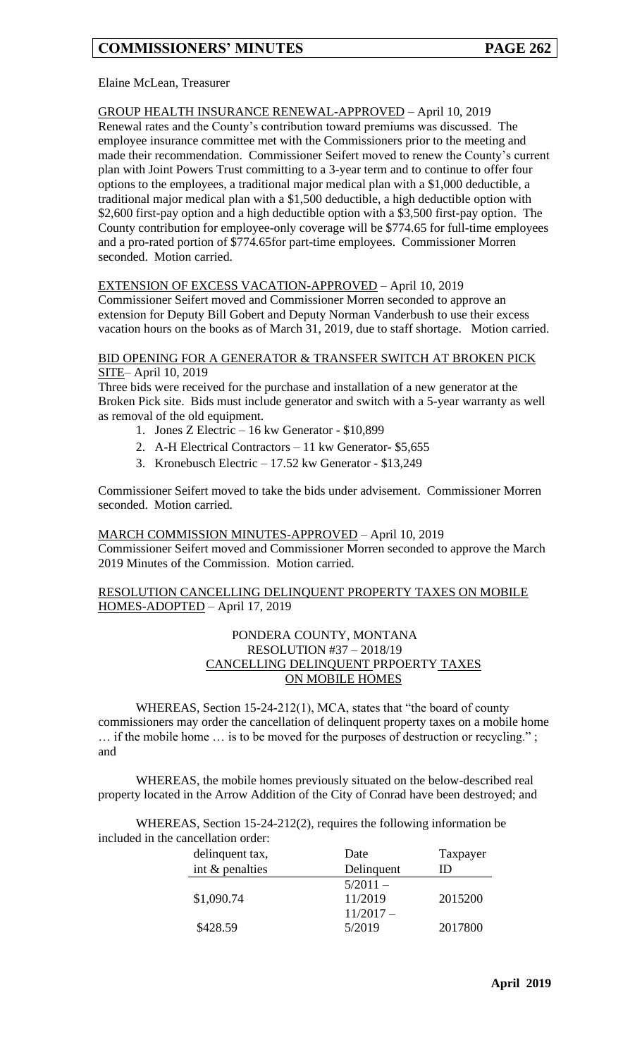### Elaine McLean, Treasurer

### GROUP HEALTH INSURANCE RENEWAL-APPROVED – April 10, 2019

Renewal rates and the County's contribution toward premiums was discussed. The employee insurance committee met with the Commissioners prior to the meeting and made their recommendation. Commissioner Seifert moved to renew the County's current plan with Joint Powers Trust committing to a 3-year term and to continue to offer four options to the employees, a traditional major medical plan with a \$1,000 deductible, a traditional major medical plan with a \$1,500 deductible, a high deductible option with \$2,600 first-pay option and a high deductible option with a \$3,500 first-pay option. The County contribution for employee-only coverage will be \$774.65 for full-time employees and a pro-rated portion of \$774.65for part-time employees. Commissioner Morren seconded. Motion carried.

## EXTENSION OF EXCESS VACATION-APPROVED – April 10, 2019

Commissioner Seifert moved and Commissioner Morren seconded to approve an extension for Deputy Bill Gobert and Deputy Norman Vanderbush to use their excess vacation hours on the books as of March 31, 2019, due to staff shortage. Motion carried.

#### BID OPENING FOR A GENERATOR & TRANSFER SWITCH AT BROKEN PICK SITE– April 10, 2019

Three bids were received for the purchase and installation of a new generator at the Broken Pick site. Bids must include generator and switch with a 5-year warranty as well as removal of the old equipment.

- 1. Jones Z Electric 16 kw Generator \$10,899
- 2. A-H Electrical Contractors 11 kw Generator- \$5,655
- 3. Kronebusch Electric 17.52 kw Generator \$13,249

Commissioner Seifert moved to take the bids under advisement. Commissioner Morren seconded. Motion carried.

#### MARCH COMMISSION MINUTES-APPROVED – April 10, 2019 Commissioner Seifert moved and Commissioner Morren seconded to approve the March 2019 Minutes of the Commission. Motion carried.

#### RESOLUTION CANCELLING DELINQUENT PROPERTY TAXES ON MOBILE HOMES-ADOPTED – April 17, 2019

#### PONDERA COUNTY, MONTANA RESOLUTION #37 – 2018/19 CANCELLING DELINQUENT PRPOERTY TAXES ON MOBILE HOMES

WHEREAS, Section 15-24-212(1), MCA, states that "the board of county commissioners may order the cancellation of delinquent property taxes on a mobile home … if the mobile home … is to be moved for the purposes of destruction or recycling." ; and

WHEREAS, the mobile homes previously situated on the below-described real property located in the Arrow Addition of the City of Conrad have been destroyed; and

WHEREAS, Section 15-24-212(2), requires the following information be included in the cancellation order:

| delinquent tax,   | Date       | Taxpayer |
|-------------------|------------|----------|
| int $&$ penalties | Delinquent | נ וו     |
|                   | $5/2011 -$ |          |
| \$1,090.74        | 11/2019    | 2015200  |
|                   | $11/2017-$ |          |
| \$428.59          | 5/2019     | 2017800  |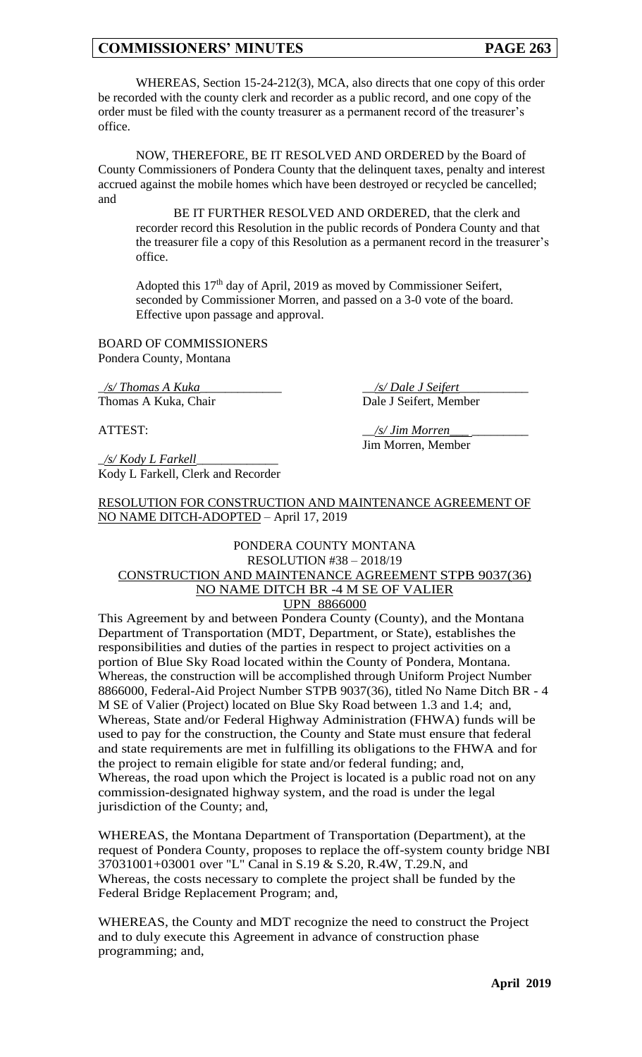WHEREAS, Section 15-24-212(3), MCA, also directs that one copy of this order be recorded with the county clerk and recorder as a public record, and one copy of the order must be filed with the county treasurer as a permanent record of the treasurer's office.

NOW, THEREFORE, BE IT RESOLVED AND ORDERED by the Board of County Commissioners of Pondera County that the delinquent taxes, penalty and interest accrued against the mobile homes which have been destroyed or recycled be cancelled; and

BE IT FURTHER RESOLVED AND ORDERED, that the clerk and recorder record this Resolution in the public records of Pondera County and that the treasurer file a copy of this Resolution as a permanent record in the treasurer's office.

Adopted this 17th day of April, 2019 as moved by Commissioner Seifert, seconded by Commissioner Morren, and passed on a 3-0 vote of the board. Effective upon passage and approval.

BOARD OF COMMISSIONERS Pondera County, Montana

\_*/s/ Thomas A Kuka*\_\_\_\_\_\_\_\_\_\_\_\_\_ \_\_*/s/ Dale J Seifert*\_\_\_\_\_\_\_\_\_\_\_

Thomas A Kuka, Chair Dale J Seifert, Member

ATTEST: \_\_*/s/ Jim Morren\_\_\_* \_\_\_\_\_\_\_\_\_

\_*/s/ Kody L Farkell*\_\_\_\_\_\_\_\_\_\_\_\_\_ Kody L Farkell, Clerk and Recorder

Jim Morren, Member

RESOLUTION FOR CONSTRUCTION AND MAINTENANCE AGREEMENT OF NO NAME DITCH-ADOPTED – April 17, 2019

#### PONDERA COUNTY MONTANA RESOLUTION #38 – 2018/19 CONSTRUCTION AND MAINTENANCE AGREEMENT STPB 9037(36) NO NAME DITCH BR -4 M SE OF VALIER UPN 8866000

This Agreement by and between Pondera County (County), and the Montana Department of Transportation (MDT, Department, or State), establishes the responsibilities and duties of the parties in respect to project activities on a portion of Blue Sky Road located within the County of Pondera, Montana. Whereas, the construction will be accomplished through Uniform Project Number 8866000, Federal-Aid Project Number STPB 9037(36), titled No Name Ditch BR - 4 M SE of Valier (Project) located on Blue Sky Road between 1.3 and 1.4; and, Whereas, State and/or Federal Highway Administration (FHWA) funds will be used to pay for the construction, the County and State must ensure that federal and state requirements are met in fulfilling its obligations to the FHWA and for the project to remain eligible for state and/or federal funding; and, Whereas, the road upon which the Project is located is a public road not on any commission-designated highway system, and the road is under the legal jurisdiction of the County; and,

WHEREAS, the Montana Department of Transportation (Department), at the request of Pondera County, proposes to replace the off-system county bridge NBI 37031001+03001 over "L" Canal in S.19 & S.20, R.4W, T.29.N, and Whereas, the costs necessary to complete the project shall be funded by the Federal Bridge Replacement Program; and,

WHEREAS, the County and MDT recognize the need to construct the Project and to duly execute this Agreement in advance of construction phase programming; and,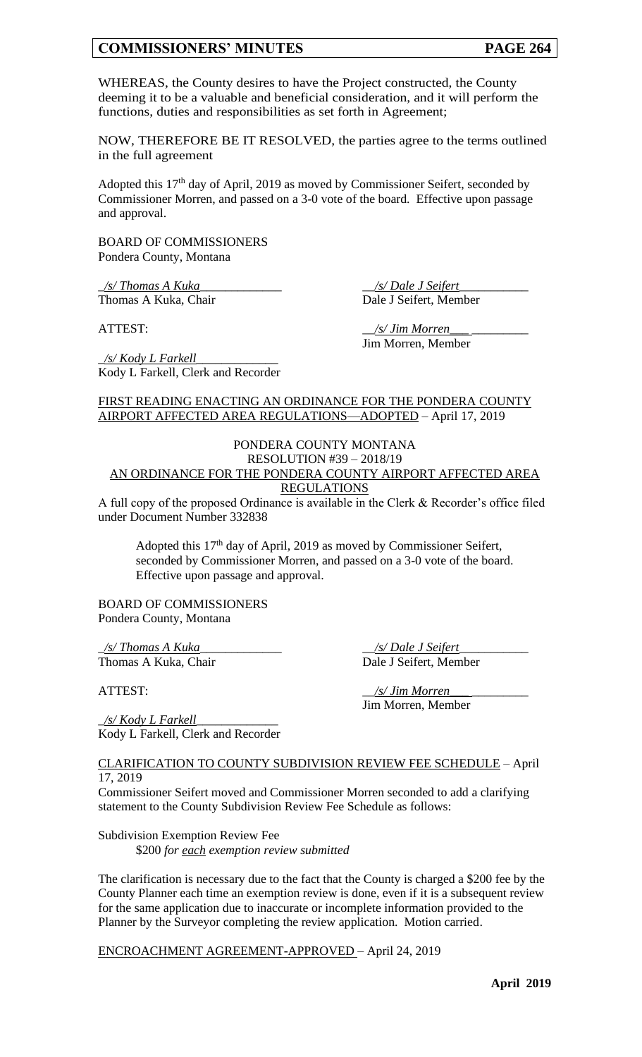WHEREAS, the County desires to have the Project constructed, the County deeming it to be a valuable and beneficial consideration, and it will perform the functions, duties and responsibilities as set forth in Agreement;

NOW, THEREFORE BE IT RESOLVED, the parties agree to the terms outlined in the full agreement

Adopted this 17th day of April, 2019 as moved by Commissioner Seifert, seconded by Commissioner Morren, and passed on a 3-0 vote of the board. Effective upon passage and approval.

BOARD OF COMMISSIONERS Pondera County, Montana

Kody L Farkell, Clerk and Recorder

\_*/s/ Thomas A Kuka*\_\_\_\_\_\_\_\_\_\_\_\_\_ \_\_*/s/ Dale J Seifert*\_\_\_\_\_\_\_\_\_\_\_ Thomas A Kuka, Chair Dale J Seifert, Member

\_*/s/ Kody L Farkell*\_\_\_\_\_\_\_\_\_\_\_\_\_

ATTEST:  $\frac{1}{s}$  /s/ Jim Morren Jim Morren, Member

#### FIRST READING ENACTING AN ORDINANCE FOR THE PONDERA COUNTY AIRPORT AFFECTED AREA REGULATIONS—ADOPTED – April 17, 2019

#### PONDERA COUNTY MONTANA RESOLUTION #39 – 2018/19

#### AN ORDINANCE FOR THE PONDERA COUNTY AIRPORT AFFECTED AREA REGULATIONS

A full copy of the proposed Ordinance is available in the Clerk & Recorder's office filed under Document Number 332838

Adopted this  $17<sup>th</sup>$  day of April, 2019 as moved by Commissioner Seifert, seconded by Commissioner Morren, and passed on a 3-0 vote of the board. Effective upon passage and approval.

BOARD OF COMMISSIONERS Pondera County, Montana

\_*/s/ Thomas A Kuka*\_\_\_\_\_\_\_\_\_\_\_\_\_ \_\_*/s/ Dale J Seifert*\_\_\_\_\_\_\_\_\_\_\_ Thomas A Kuka, Chair Dale J Seifert, Member

ATTEST: \_\_*/s/ Jim Morren\_\_\_* \_\_\_\_\_\_\_\_\_ Jim Morren, Member

\_*/s/ Kody L Farkell*\_\_\_\_\_\_\_\_\_\_\_\_\_ Kody L Farkell, Clerk and Recorder

#### CLARIFICATION TO COUNTY SUBDIVISION REVIEW FEE SCHEDULE – April 17, 2019

Commissioner Seifert moved and Commissioner Morren seconded to add a clarifying statement to the County Subdivision Review Fee Schedule as follows:

Subdivision Exemption Review Fee \$200 *for each exemption review submitted*

The clarification is necessary due to the fact that the County is charged a \$200 fee by the County Planner each time an exemption review is done, even if it is a subsequent review for the same application due to inaccurate or incomplete information provided to the Planner by the Surveyor completing the review application. Motion carried.

ENCROACHMENT AGREEMENT-APPROVED – April 24, 2019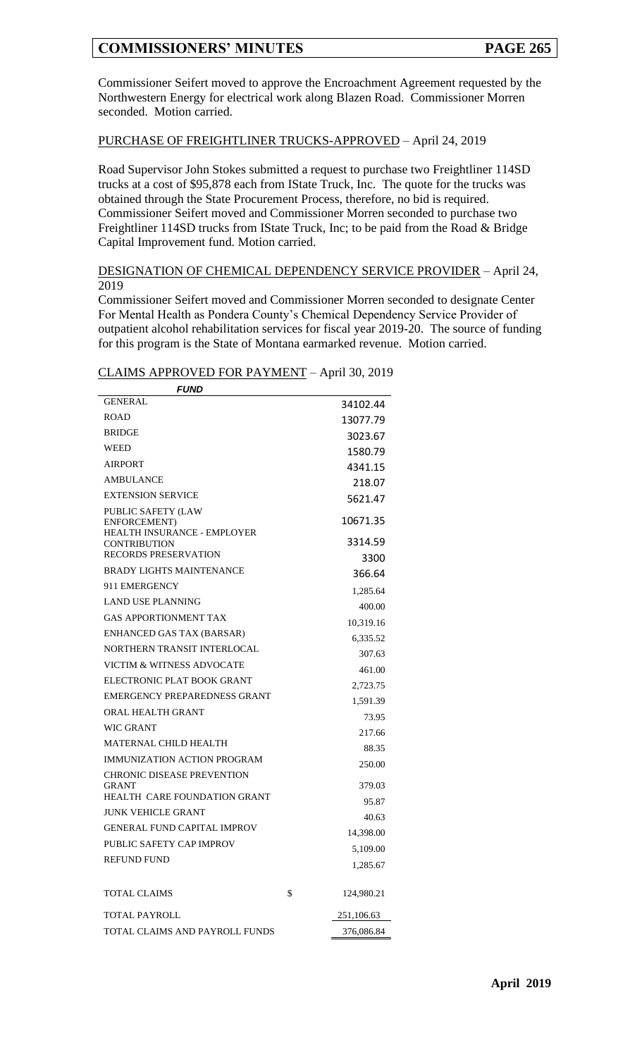Commissioner Seifert moved to approve the Encroachment Agreement requested by the Northwestern Energy for electrical work along Blazen Road. Commissioner Morren seconded. Motion carried.

#### PURCHASE OF FREIGHTLINER TRUCKS-APPROVED – April 24, 2019

Road Supervisor John Stokes submitted a request to purchase two Freightliner 114SD trucks at a cost of \$95,878 each from IState Truck, Inc. The quote for the trucks was obtained through the State Procurement Process, therefore, no bid is required. Commissioner Seifert moved and Commissioner Morren seconded to purchase two Freightliner 114SD trucks from IState Truck, Inc; to be paid from the Road & Bridge Capital Improvement fund. Motion carried.

#### DESIGNATION OF CHEMICAL DEPENDENCY SERVICE PROVIDER – April 24, 2019

Commissioner Seifert moved and Commissioner Morren seconded to designate Center For Mental Health as Pondera County's Chemical Dependency Service Provider of outpatient alcohol rehabilitation services for fiscal year 2019-20. The source of funding for this program is the State of Montana earmarked revenue. Motion carried.

### CLAIMS APPROVED FOR PAYMENT – April 30, 2019

| <i>FUND</i>                                                                                                                    |                             |
|--------------------------------------------------------------------------------------------------------------------------------|-----------------------------|
| <b>GENERAL</b>                                                                                                                 | 34102.44                    |
| <b>ROAD</b>                                                                                                                    | 13077.79                    |
| <b>BRIDGE</b>                                                                                                                  | 3023.67                     |
| <b>WEED</b>                                                                                                                    | 1580.79                     |
| <b>AIRPORT</b>                                                                                                                 | 4341.15                     |
| <b>AMBULANCE</b>                                                                                                               | 218.07                      |
| <b>EXTENSION SERVICE</b>                                                                                                       | 5621.47                     |
| PUBLIC SAFETY (LAW<br>ENFORCEMENT)<br><b>HEALTH INSURANCE - EMPLOYER</b><br><b>CONTRIBUTION</b><br><b>RECORDS PRESERVATION</b> | 10671.35<br>3314.59<br>3300 |
| <b>BRADY LIGHTS MAINTENANCE</b>                                                                                                | 366.64                      |
| 911 EMERGENCY                                                                                                                  | 1,285.64                    |
| <b>LAND USE PLANNING</b>                                                                                                       | 400.00                      |
| <b>GAS APPORTIONMENT TAX</b>                                                                                                   | 10,319.16                   |
| ENHANCED GAS TAX (BARSAR)                                                                                                      | 6,335.52                    |
| NORTHERN TRANSIT INTERLOCAL                                                                                                    | 307.63                      |
| VICTIM & WITNESS ADVOCATE                                                                                                      | 461.00                      |
| ELECTRONIC PLAT BOOK GRANT                                                                                                     | 2,723.75                    |
| EMERGENCY PREPAREDNESS GRANT                                                                                                   | 1,591.39                    |
| ORAL HEALTH GRANT                                                                                                              | 73.95                       |
| <b>WIC GRANT</b>                                                                                                               | 217.66                      |
| <b>MATERNAL CHILD HEALTH</b>                                                                                                   | 88.35                       |
| IMMUNIZATION ACTION PROGRAM                                                                                                    | 250.00                      |
| <b>CHRONIC DISEASE PREVENTION</b><br><b>GRANT</b>                                                                              | 379.03                      |
| <b>HEALTH CARE FOUNDATION GRANT</b>                                                                                            | 95.87                       |
| <b>JUNK VEHICLE GRANT</b>                                                                                                      | 40.63                       |
| <b>GENERAL FUND CAPITAL IMPROV</b>                                                                                             | 14,398.00                   |
| PUBLIC SAFETY CAP IMPROV                                                                                                       | 5.109.00                    |
| <b>REFUND FUND</b>                                                                                                             | 1,285.67                    |
| TOTAL CLAIMS                                                                                                                   | \$<br>124,980.21            |
| TOTAL PAYROLL                                                                                                                  | 251,106.63                  |
| TOTAL CLAIMS AND PAYROLL FUNDS                                                                                                 | 376,086.84                  |